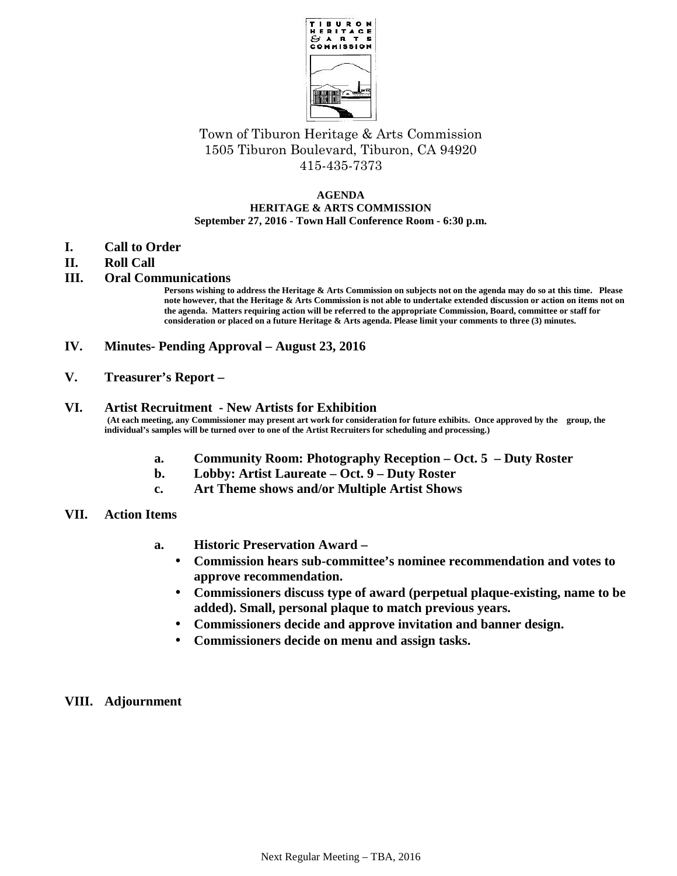

# Town of Tiburon Heritage & Arts Commission 1505 Tiburon Boulevard, Tiburon, CA 94920 415-435-7373

#### **AGENDA HERITAGE & ARTS COMMISSION September 27, 2016 - Town Hall Conference Room - 6:30 p.m.**

- **I. Call to Order**
- **II. Roll Call**

## **III. Oral Communications**

**Persons wishing to address the Heritage & Arts Commission on subjects not on the agenda may do so at this time. Please note however, that the Heritage & Arts Commission is not able to undertake extended discussion or action on items not on the agenda. Matters requiring action will be referred to the appropriate Commission, Board, committee or staff for consideration or placed on a future Heritage & Arts agenda. Please limit your comments to three (3) minutes.**

- **IV. Minutes- Pending Approval – August 23, 2016**
- **V. Treasurer's Report –**

#### **VI. Artist Recruitment - New Artists for Exhibition**

**(At each meeting, any Commissioner may present art work for consideration for future exhibits. Once approved by the group, the individual's samples will be turned over to one of the Artist Recruiters for scheduling and processing.)**

- **a. Community Room: Photography Reception – Oct. 5 – Duty Roster**
- **b. Lobby: Artist Laureate – Oct. 9 – Duty Roster**
- **c. Art Theme shows and/or Multiple Artist Shows**
- **VII. Action Items**
	- **a. Historic Preservation Award –**
		- **Commission hears sub-committee's nominee recommendation and votes to approve recommendation.**
		- **Commissioners discuss type of award (perpetual plaque-existing, name to be added). Small, personal plaque to match previous years.**
		- **Commissioners decide and approve invitation and banner design.**
		- **Commissioners decide on menu and assign tasks.**
- **VIII. Adjournment**